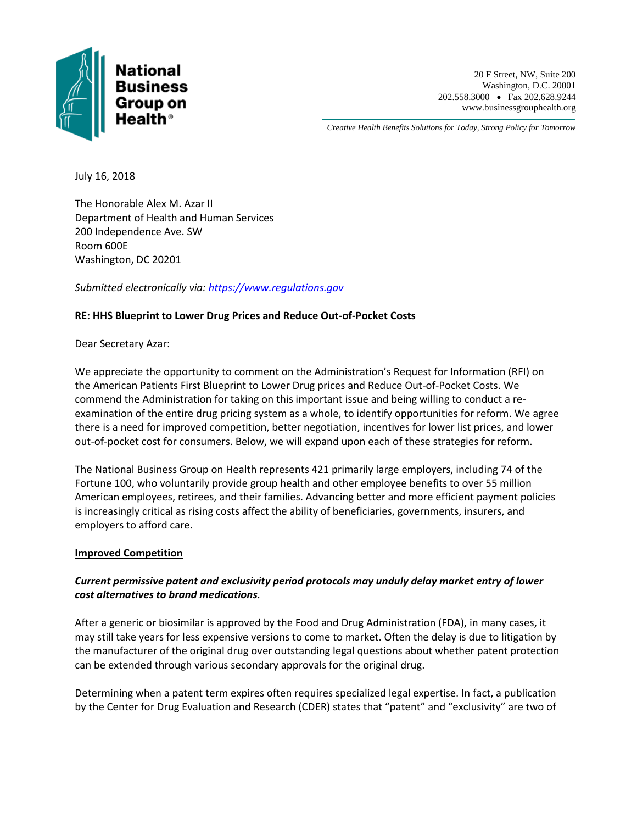

*Creative Health Benefits Solutions for Today, Strong Policy for Tomorrow*

July 16, 2018

The Honorable Alex M. Azar II Department of Health and Human Services 200 Independence Ave. SW Room 600E Washington, DC 20201

*Submitted electronically via: [https://www.regulations.gov](https://www.regulations.gov/)*

## **RE: HHS Blueprint to Lower Drug Prices and Reduce Out-of-Pocket Costs**

Dear Secretary Azar:

We appreciate the opportunity to comment on the Administration's Request for Information (RFI) on the American Patients First Blueprint to Lower Drug prices and Reduce Out-of-Pocket Costs. We commend the Administration for taking on this important issue and being willing to conduct a reexamination of the entire drug pricing system as a whole, to identify opportunities for reform. We agree there is a need for improved competition, better negotiation, incentives for lower list prices, and lower out-of-pocket cost for consumers. Below, we will expand upon each of these strategies for reform.

The National Business Group on Health represents 421 primarily large employers, including 74 of the Fortune 100, who voluntarily provide group health and other employee benefits to over 55 million American employees, retirees, and their families. Advancing better and more efficient payment policies is increasingly critical as rising costs affect the ability of beneficiaries, governments, insurers, and employers to afford care.

## **Improved Competition**

# *Current permissive patent and exclusivity period protocols may unduly delay market entry of lower cost alternatives to brand medications.*

After a generic or biosimilar is approved by the Food and Drug Administration (FDA), in many cases, it may still take years for less expensive versions to come to market. Often the delay is due to litigation by the manufacturer of the original drug over outstanding legal questions about whether patent protection can be extended through various secondary approvals for the original drug.

Determining when a patent term expires often requires specialized legal expertise. In fact, a publication by the Center for Drug Evaluation and Research (CDER) states that "patent" and "exclusivity" are two of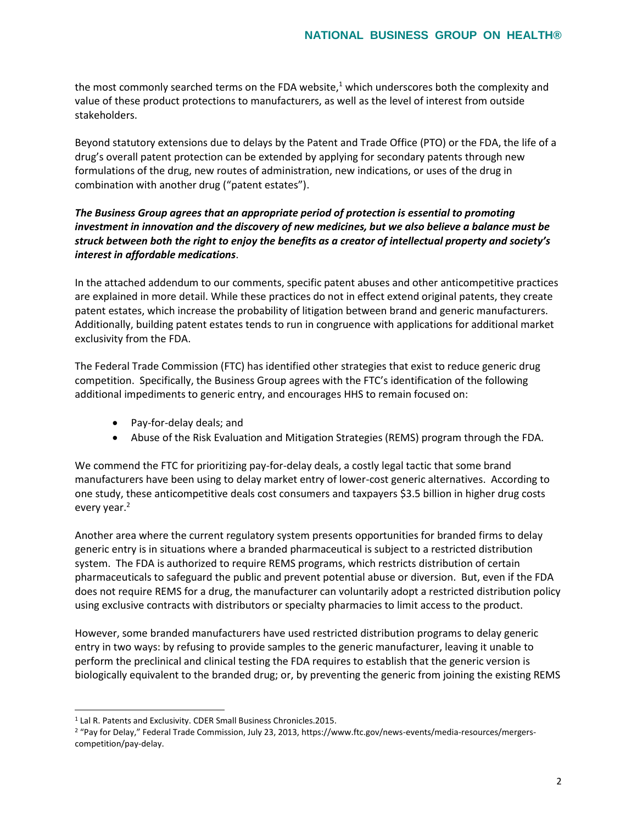the most commonly searched terms on the FDA website, $1$  which underscores both the complexity and value of these product protections to manufacturers, as well as the level of interest from outside stakeholders.

Beyond statutory extensions due to delays by the Patent and Trade Office (PTO) or the FDA, the life of a drug's overall patent protection can be extended by applying for secondary patents through new formulations of the drug, new routes of administration, new indications, or uses of the drug in combination with another drug ("patent estates").

# *The Business Group agrees that an appropriate period of protection is essential to promoting investment in innovation and the discovery of new medicines, but we also believe a balance must be struck between both the right to enjoy the benefits as a creator of intellectual property and society's interest in affordable medications*.

In the attached addendum to our comments, specific patent abuses and other anticompetitive practices are explained in more detail. While these practices do not in effect extend original patents, they create patent estates, which increase the probability of litigation between brand and generic manufacturers. Additionally, building patent estates tends to run in congruence with applications for additional market exclusivity from the FDA.

The Federal Trade Commission (FTC) has identified other strategies that exist to reduce generic drug competition. Specifically, the Business Group agrees with the FTC's identification of the following additional impediments to generic entry, and encourages HHS to remain focused on:

- Pay-for-delay deals; and
- Abuse of the Risk Evaluation and Mitigation Strategies (REMS) program through the FDA.

We commend the FTC for prioritizing pay-for-delay deals, a costly legal tactic that some brand manufacturers have been using to delay market entry of lower-cost generic alternatives. According to one study, these anticompetitive deals cost consumers and taxpayers \$3.5 billion in higher drug costs every year.<sup>2</sup>

Another area where the current regulatory system presents opportunities for branded firms to delay generic entry is in situations where a branded pharmaceutical is subject to a restricted distribution system. The FDA is authorized to require REMS programs, which restricts distribution of certain pharmaceuticals to safeguard the public and prevent potential abuse or diversion. But, even if the FDA does not require REMS for a drug, the manufacturer can voluntarily adopt a restricted distribution policy using exclusive contracts with distributors or specialty pharmacies to limit access to the product.

However, some branded manufacturers have used restricted distribution programs to delay generic entry in two ways: by refusing to provide samples to the generic manufacturer, leaving it unable to perform the preclinical and clinical testing the FDA requires to establish that the generic version is biologically equivalent to the branded drug; or, by preventing the generic from joining the existing REMS

 $\overline{a}$ 

<sup>1</sup> Lal R. Patents and Exclusivity. CDER Small Business Chronicles.2015.

<sup>2</sup> "Pay for Delay," Federal Trade Commission, July 23, 2013, https://www.ftc.gov/news-events/media-resources/mergerscompetition/pay-delay.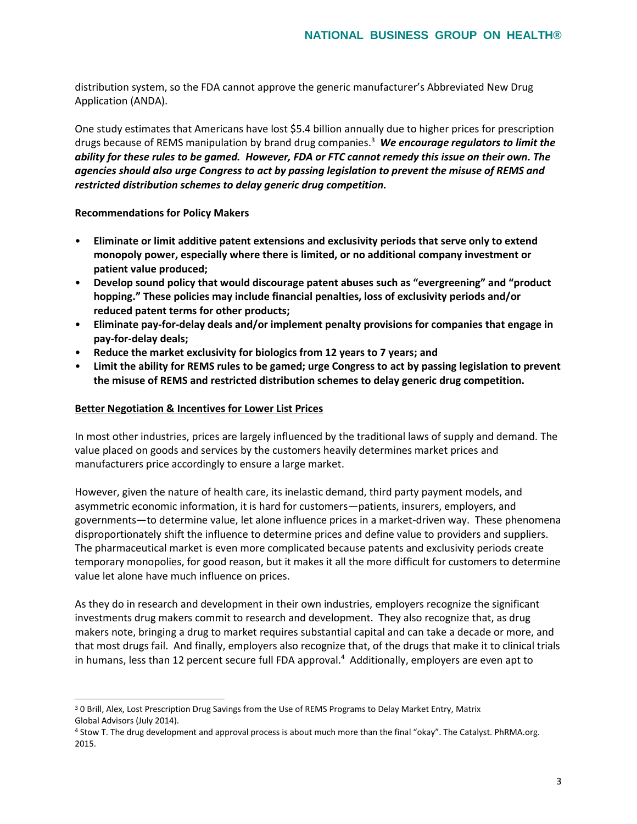distribution system, so the FDA cannot approve the generic manufacturer's Abbreviated New Drug Application (ANDA).

One study estimates that Americans have lost \$5.4 billion annually due to higher prices for prescription drugs because of REMS manipulation by brand drug companies.<sup>3</sup> *We encourage regulators to limit the ability for these rules to be gamed. However, FDA or FTC cannot remedy this issue on their own. The agencies should also urge Congress to act by passing legislation to prevent the misuse of REMS and restricted distribution schemes to delay generic drug competition.*

**Recommendations for Policy Makers** 

- **Eliminate or limit additive patent extensions and exclusivity periods that serve only to extend monopoly power, especially where there is limited, or no additional company investment or patient value produced;**
- **Develop sound policy that would discourage patent abuses such as "evergreening" and "product hopping." These policies may include financial penalties, loss of exclusivity periods and/or reduced patent terms for other products;**
- **Eliminate pay-for-delay deals and/or implement penalty provisions for companies that engage in pay-for-delay deals;**
- **Reduce the market exclusivity for biologics from 12 years to 7 years; and**
- **Limit the ability for REMS rules to be gamed; urge Congress to act by passing legislation to prevent the misuse of REMS and restricted distribution schemes to delay generic drug competition.**

#### **Better Negotiation & Incentives for Lower List Prices**

 $\overline{a}$ 

In most other industries, prices are largely influenced by the traditional laws of supply and demand. The value placed on goods and services by the customers heavily determines market prices and manufacturers price accordingly to ensure a large market.

However, given the nature of health care, its inelastic demand, third party payment models, and asymmetric economic information, it is hard for customers—patients, insurers, employers, and governments—to determine value, let alone influence prices in a market-driven way. These phenomena disproportionately shift the influence to determine prices and define value to providers and suppliers. The pharmaceutical market is even more complicated because patents and exclusivity periods create temporary monopolies, for good reason, but it makes it all the more difficult for customers to determine value let alone have much influence on prices.

As they do in research and development in their own industries, employers recognize the significant investments drug makers commit to research and development. They also recognize that, as drug makers note, bringing a drug to market requires substantial capital and can take a decade or more, and that most drugs fail. And finally, employers also recognize that, of the drugs that make it to clinical trials in humans, less than 12 percent secure full FDA approval.<sup>4</sup> Additionally, employers are even apt to

<sup>&</sup>lt;sup>3</sup> 0 Brill, Alex, Lost Prescription Drug Savings from the Use of REMS Programs to Delay Market Entry, Matrix Global Advisors (July 2014).

<sup>4</sup> Stow T. The drug development and approval process is about much more than the final "okay". The Catalyst. PhRMA.org. 2015.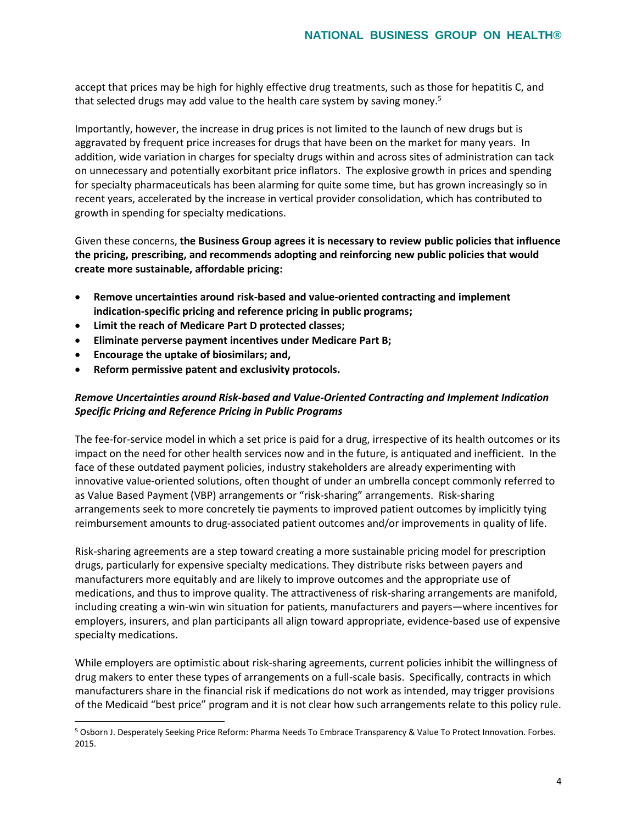accept that prices may be high for highly effective drug treatments, such as those for hepatitis C, and that selected drugs may add value to the health care system by saving money.<sup>5</sup>

Importantly, however, the increase in drug prices is not limited to the launch of new drugs but is aggravated by frequent price increases for drugs that have been on the market for many years. In addition, wide variation in charges for specialty drugs within and across sites of administration can tack on unnecessary and potentially exorbitant price inflators. The explosive growth in prices and spending for specialty pharmaceuticals has been alarming for quite some time, but has grown increasingly so in recent years, accelerated by the increase in vertical provider consolidation, which has contributed to growth in spending for specialty medications.

Given these concerns, **the Business Group agrees it is necessary to review public policies that influence the pricing, prescribing, and recommends adopting and reinforcing new public policies that would create more sustainable, affordable pricing:** 

- **Remove uncertainties around risk-based and value-oriented contracting and implement indication-specific pricing and reference pricing in public programs;**
- **Limit the reach of Medicare Part D protected classes;**
- **Eliminate perverse payment incentives under Medicare Part B;**
- **Encourage the uptake of biosimilars; and,**

 $\overline{a}$ 

• **Reform permissive patent and exclusivity protocols.** 

# *Remove Uncertainties around Risk-based and Value-Oriented Contracting and Implement Indication Specific Pricing and Reference Pricing in Public Programs*

The fee-for-service model in which a set price is paid for a drug, irrespective of its health outcomes or its impact on the need for other health services now and in the future, is antiquated and inefficient. In the face of these outdated payment policies, industry stakeholders are already experimenting with innovative value-oriented solutions, often thought of under an umbrella concept commonly referred to as Value Based Payment (VBP) arrangements or "risk-sharing" arrangements. Risk-sharing arrangements seek to more concretely tie payments to improved patient outcomes by implicitly tying reimbursement amounts to drug-associated patient outcomes and/or improvements in quality of life.

Risk-sharing agreements are a step toward creating a more sustainable pricing model for prescription drugs, particularly for expensive specialty medications. They distribute risks between payers and manufacturers more equitably and are likely to improve outcomes and the appropriate use of medications, and thus to improve quality. The attractiveness of risk-sharing arrangements are manifold, including creating a win-win win situation for patients, manufacturers and payers—where incentives for employers, insurers, and plan participants all align toward appropriate, evidence-based use of expensive specialty medications.

While employers are optimistic about risk-sharing agreements, current policies inhibit the willingness of drug makers to enter these types of arrangements on a full-scale basis. Specifically, contracts in which manufacturers share in the financial risk if medications do not work as intended, may trigger provisions of the Medicaid "best price" program and it is not clear how such arrangements relate to this policy rule.

<sup>5</sup> Osborn J. Desperately Seeking Price Reform: Pharma Needs To Embrace Transparency & Value To Protect Innovation. Forbes. 2015.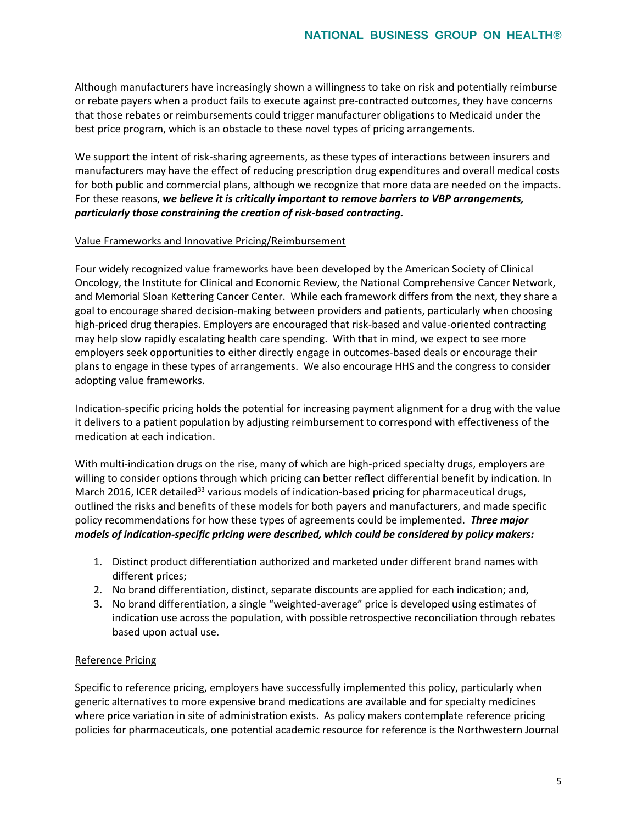Although manufacturers have increasingly shown a willingness to take on risk and potentially reimburse or rebate payers when a product fails to execute against pre-contracted outcomes, they have concerns that those rebates or reimbursements could trigger manufacturer obligations to Medicaid under the best price program, which is an obstacle to these novel types of pricing arrangements.

We support the intent of risk-sharing agreements, as these types of interactions between insurers and manufacturers may have the effect of reducing prescription drug expenditures and overall medical costs for both public and commercial plans, although we recognize that more data are needed on the impacts. For these reasons, *we believe it is critically important to remove barriers to VBP arrangements, particularly those constraining the creation of risk-based contracting.*

### Value Frameworks and Innovative Pricing/Reimbursement

Four widely recognized value frameworks have been developed by the American Society of Clinical Oncology, the Institute for Clinical and Economic Review, the National Comprehensive Cancer Network, and Memorial Sloan Kettering Cancer Center. While each framework differs from the next, they share a goal to encourage shared decision-making between providers and patients, particularly when choosing high-priced drug therapies. Employers are encouraged that risk-based and value-oriented contracting may help slow rapidly escalating health care spending. With that in mind, we expect to see more employers seek opportunities to either directly engage in outcomes-based deals or encourage their plans to engage in these types of arrangements. We also encourage HHS and the congress to consider adopting value frameworks.

Indication-specific pricing holds the potential for increasing payment alignment for a drug with the value it delivers to a patient population by adjusting reimbursement to correspond with effectiveness of the medication at each indication.

With multi-indication drugs on the rise, many of which are high-priced specialty drugs, employers are willing to consider options through which pricing can better reflect differential benefit by indication. In March 2016, ICER detailed<sup>33</sup> various models of indication-based pricing for pharmaceutical drugs, outlined the risks and benefits of these models for both payers and manufacturers, and made specific policy recommendations for how these types of agreements could be implemented. *Three major models of indication-specific pricing were described, which could be considered by policy makers:*

- 1. Distinct product differentiation authorized and marketed under different brand names with different prices;
- 2. No brand differentiation, distinct, separate discounts are applied for each indication; and,
- 3. No brand differentiation, a single "weighted-average" price is developed using estimates of indication use across the population, with possible retrospective reconciliation through rebates based upon actual use.

## Reference Pricing

Specific to reference pricing, employers have successfully implemented this policy, particularly when generic alternatives to more expensive brand medications are available and for specialty medicines where price variation in site of administration exists. As policy makers contemplate reference pricing policies for pharmaceuticals, one potential academic resource for reference is the Northwestern Journal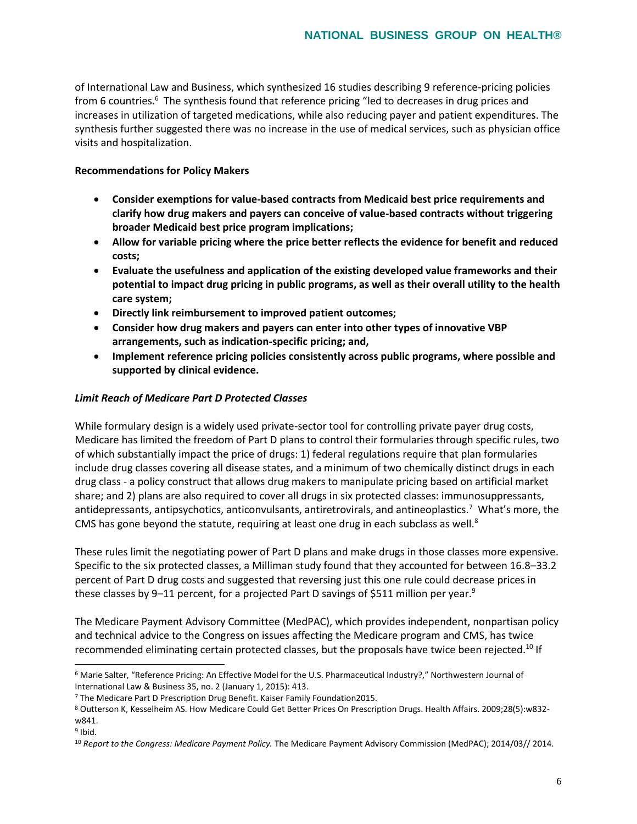of International Law and Business, which synthesized 16 studies describing 9 reference-pricing policies from 6 countries.<sup>6</sup> The synthesis found that reference pricing "led to decreases in drug prices and increases in utilization of targeted medications, while also reducing payer and patient expenditures. The synthesis further suggested there was no increase in the use of medical services, such as physician office visits and hospitalization.

## **Recommendations for Policy Makers**

- **Consider exemptions for value-based contracts from Medicaid best price requirements and clarify how drug makers and payers can conceive of value-based contracts without triggering broader Medicaid best price program implications;**
- **Allow for variable pricing where the price better reflects the evidence for benefit and reduced costs;**
- **Evaluate the usefulness and application of the existing developed value frameworks and their potential to impact drug pricing in public programs, as well as their overall utility to the health care system;**
- **Directly link reimbursement to improved patient outcomes;**
- **Consider how drug makers and payers can enter into other types of innovative VBP arrangements, such as indication-specific pricing; and,**
- **Implement reference pricing policies consistently across public programs, where possible and supported by clinical evidence.**

## *Limit Reach of Medicare Part D Protected Classes*

While formulary design is a widely used private-sector tool for controlling private payer drug costs, Medicare has limited the freedom of Part D plans to control their formularies through specific rules, two of which substantially impact the price of drugs: 1) federal regulations require that plan formularies include drug classes covering all disease states, and a minimum of two chemically distinct drugs in each drug class - a policy construct that allows drug makers to manipulate pricing based on artificial market share; and 2) plans are also required to cover all drugs in six protected classes: immunosuppressants, antidepressants, antipsychotics, anticonvulsants, antiretrovirals, and antineoplastics.<sup>7</sup> What's more, the CMS has gone beyond the statute, requiring at least one drug in each subclass as well. $8$ 

These rules limit the negotiating power of Part D plans and make drugs in those classes more expensive. Specific to the six protected classes, a Milliman study found that they accounted for between 16.8–33.2 percent of Part D drug costs and suggested that reversing just this one rule could decrease prices in these classes by 9-11 percent, for a projected Part D savings of \$511 million per year.<sup>9</sup>

The Medicare Payment Advisory Committee (MedPAC), which provides independent, nonpartisan policy and technical advice to the Congress on issues affecting the Medicare program and CMS, has twice recommended eliminating certain protected classes, but the proposals have twice been rejected.<sup>10</sup> If

 $\overline{a}$ 

<sup>6</sup> Marie Salter, "Reference Pricing: An Effective Model for the U.S. Pharmaceutical Industry?," Northwestern Journal of International Law & Business 35, no. 2 (January 1, 2015): 413.

<sup>7</sup> The Medicare Part D Prescription Drug Benefit. Kaiser Family Foundation2015.

<sup>8</sup> Outterson K, Kesselheim AS. How Medicare Could Get Better Prices On Prescription Drugs. Health Affairs. 2009;28(5):w832 w841.

<sup>&</sup>lt;sup>9</sup> Ibid.

<sup>10</sup> *Report to the Congress: Medicare Payment Policy.* The Medicare Payment Advisory Commission (MedPAC); 2014/03// 2014.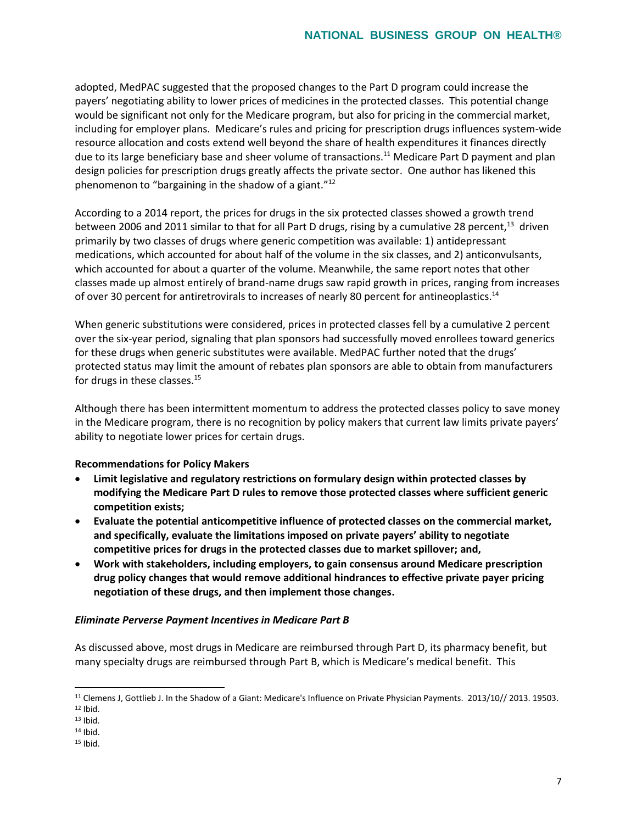adopted, MedPAC suggested that the proposed changes to the Part D program could increase the payers' negotiating ability to lower prices of medicines in the protected classes. This potential change would be significant not only for the Medicare program, but also for pricing in the commercial market, including for employer plans. Medicare's rules and pricing for prescription drugs influences system-wide resource allocation and costs extend well beyond the share of health expenditures it finances directly due to its large beneficiary base and sheer volume of transactions.<sup>11</sup> Medicare Part D payment and plan design policies for prescription drugs greatly affects the private sector. One author has likened this phenomenon to "bargaining in the shadow of a giant."<sup>12</sup>

According to a 2014 report, the prices for drugs in the six protected classes showed a growth trend between 2006 and 2011 similar to that for all Part D drugs, rising by a cumulative 28 percent,<sup>13</sup> driven primarily by two classes of drugs where generic competition was available: 1) antidepressant medications, which accounted for about half of the volume in the six classes, and 2) anticonvulsants, which accounted for about a quarter of the volume. Meanwhile, the same report notes that other classes made up almost entirely of brand-name drugs saw rapid growth in prices, ranging from increases of over 30 percent for antiretrovirals to increases of nearly 80 percent for antineoplastics.<sup>14</sup>

When generic substitutions were considered, prices in protected classes fell by a cumulative 2 percent over the six-year period, signaling that plan sponsors had successfully moved enrollees toward generics for these drugs when generic substitutes were available. MedPAC further noted that the drugs' protected status may limit the amount of rebates plan sponsors are able to obtain from manufacturers for drugs in these classes.<sup>15</sup>

Although there has been intermittent momentum to address the protected classes policy to save money in the Medicare program, there is no recognition by policy makers that current law limits private payers' ability to negotiate lower prices for certain drugs.

### **Recommendations for Policy Makers**

- **Limit legislative and regulatory restrictions on formulary design within protected classes by modifying the Medicare Part D rules to remove those protected classes where sufficient generic competition exists;**
- **Evaluate the potential anticompetitive influence of protected classes on the commercial market, and specifically, evaluate the limitations imposed on private payers' ability to negotiate competitive prices for drugs in the protected classes due to market spillover; and,**
- **Work with stakeholders, including employers, to gain consensus around Medicare prescription drug policy changes that would remove additional hindrances to effective private payer pricing negotiation of these drugs, and then implement those changes.**

### *Eliminate Perverse Payment Incentives in Medicare Part B*

As discussed above, most drugs in Medicare are reimbursed through Part D, its pharmacy benefit, but many specialty drugs are reimbursed through Part B, which is Medicare's medical benefit. This

 $\overline{a}$ 

<sup>11</sup> Clemens J, Gottlieb J. In the Shadow of a Giant: Medicare's Influence on Private Physician Payments. 2013/10// 2013. 19503.  $12$  Ibid.

<sup>13</sup> Ibid.

<sup>14</sup> Ibid.

 $15$  Ibid.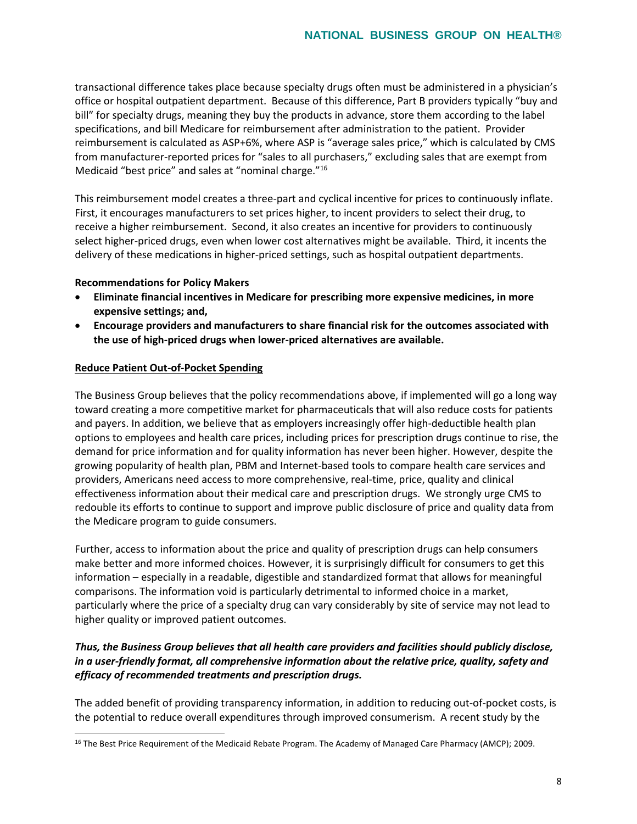transactional difference takes place because specialty drugs often must be administered in a physician's office or hospital outpatient department. Because of this difference, Part B providers typically "buy and bill" for specialty drugs, meaning they buy the products in advance, store them according to the label specifications, and bill Medicare for reimbursement after administration to the patient. Provider reimbursement is calculated as ASP+6%, where ASP is "average sales price," which is calculated by CMS from manufacturer-reported prices for "sales to all purchasers," excluding sales that are exempt from Medicaid "best price" and sales at "nominal charge."<sup>16</sup>

This reimbursement model creates a three-part and cyclical incentive for prices to continuously inflate. First, it encourages manufacturers to set prices higher, to incent providers to select their drug, to receive a higher reimbursement. Second, it also creates an incentive for providers to continuously select higher-priced drugs, even when lower cost alternatives might be available. Third, it incents the delivery of these medications in higher-priced settings, such as hospital outpatient departments.

### **Recommendations for Policy Makers**

- **Eliminate financial incentives in Medicare for prescribing more expensive medicines, in more expensive settings; and,**
- **Encourage providers and manufacturers to share financial risk for the outcomes associated with the use of high-priced drugs when lower-priced alternatives are available.**

#### **Reduce Patient Out-of-Pocket Spending**

 $\overline{a}$ 

The Business Group believes that the policy recommendations above, if implemented will go a long way toward creating a more competitive market for pharmaceuticals that will also reduce costs for patients and payers. In addition, we believe that as employers increasingly offer high-deductible health plan options to employees and health care prices, including prices for prescription drugs continue to rise, the demand for price information and for quality information has never been higher. However, despite the growing popularity of health plan, PBM and Internet-based tools to compare health care services and providers, Americans need access to more comprehensive, real-time, price, quality and clinical effectiveness information about their medical care and prescription drugs. We strongly urge CMS to redouble its efforts to continue to support and improve public disclosure of price and quality data from the Medicare program to guide consumers.

Further, access to information about the price and quality of prescription drugs can help consumers make better and more informed choices. However, it is surprisingly difficult for consumers to get this information – especially in a readable, digestible and standardized format that allows for meaningful comparisons. The information void is particularly detrimental to informed choice in a market, particularly where the price of a specialty drug can vary considerably by site of service may not lead to higher quality or improved patient outcomes.

# *Thus, the Business Group believes that all health care providers and facilities should publicly disclose, in a user-friendly format, all comprehensive information about the relative price, quality, safety and efficacy of recommended treatments and prescription drugs.*

The added benefit of providing transparency information, in addition to reducing out-of-pocket costs, is the potential to reduce overall expenditures through improved consumerism. A recent study by the

<sup>&</sup>lt;sup>16</sup> The Best Price Requirement of the Medicaid Rebate Program. The Academy of Managed Care Pharmacy (AMCP); 2009.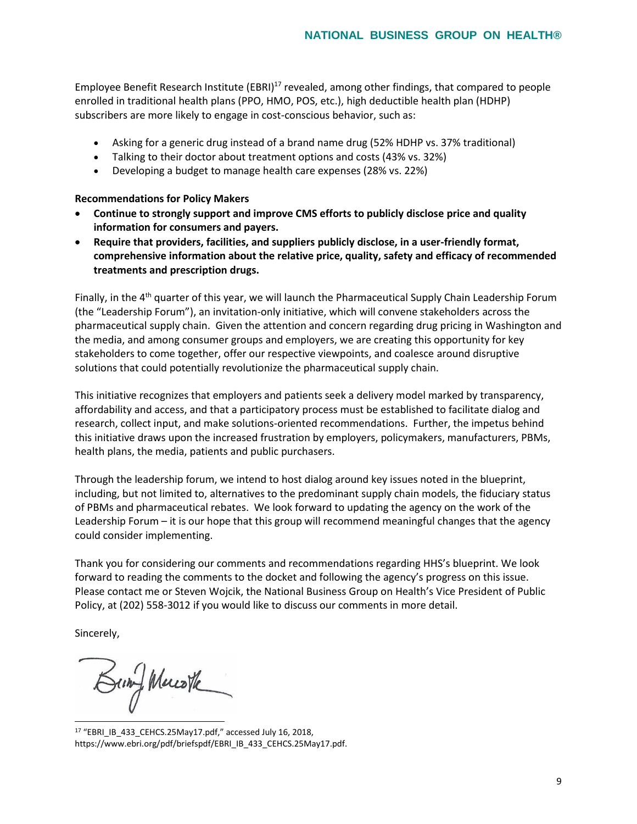Employee Benefit Research Institute (EBRI)<sup>17</sup> revealed, among other findings, that compared to people enrolled in traditional health plans (PPO, HMO, POS, etc.), high deductible health plan (HDHP) subscribers are more likely to engage in cost-conscious behavior, such as:

- Asking for a generic drug instead of a brand name drug (52% HDHP vs. 37% traditional)
- Talking to their doctor about treatment options and costs (43% vs. 32%)
- Developing a budget to manage health care expenses (28% vs. 22%)

#### **Recommendations for Policy Makers**

- **Continue to strongly support and improve CMS efforts to publicly disclose price and quality information for consumers and payers.**
- **Require that providers, facilities, and suppliers publicly disclose, in a user-friendly format, comprehensive information about the relative price, quality, safety and efficacy of recommended treatments and prescription drugs.**

Finally, in the  $4<sup>th</sup>$  quarter of this year, we will launch the Pharmaceutical Supply Chain Leadership Forum (the "Leadership Forum"), an invitation-only initiative, which will convene stakeholders across the pharmaceutical supply chain. Given the attention and concern regarding drug pricing in Washington and the media, and among consumer groups and employers, we are creating this opportunity for key stakeholders to come together, offer our respective viewpoints, and coalesce around disruptive solutions that could potentially revolutionize the pharmaceutical supply chain.

This initiative recognizes that employers and patients seek a delivery model marked by transparency, affordability and access, and that a participatory process must be established to facilitate dialog and research, collect input, and make solutions-oriented recommendations. Further, the impetus behind this initiative draws upon the increased frustration by employers, policymakers, manufacturers, PBMs, health plans, the media, patients and public purchasers.

Through the leadership forum, we intend to host dialog around key issues noted in the blueprint, including, but not limited to, alternatives to the predominant supply chain models, the fiduciary status of PBMs and pharmaceutical rebates. We look forward to updating the agency on the work of the Leadership Forum – it is our hope that this group will recommend meaningful changes that the agency could consider implementing.

Thank you for considering our comments and recommendations regarding HHS's blueprint. We look forward to reading the comments to the docket and following the agency's progress on this issue. Please contact me or Steven Wojcik, the National Business Group on Health's Vice President of Public Policy, at (202) 558-3012 if you would like to discuss our comments in more detail.

Sincerely,

Bung Mereste  $\overline{a}$ 

<sup>17</sup> "EBRI\_IB\_433\_CEHCS.25May17.pdf," accessed July 16, 2018, https://www.ebri.org/pdf/briefspdf/EBRI\_IB\_433\_CEHCS.25May17.pdf.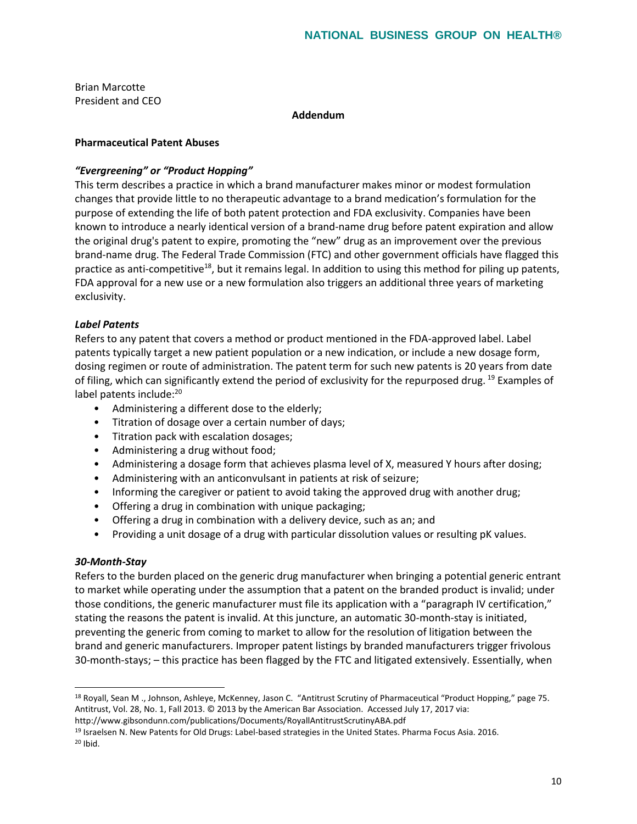Brian Marcotte President and CEO

**Addendum**

## **Pharmaceutical Patent Abuses**

## *"Evergreening" or "Product Hopping"*

This term describes a practice in which a brand manufacturer makes minor or modest formulation changes that provide little to no therapeutic advantage to a brand medication's formulation for the purpose of extending the life of both patent protection and FDA exclusivity. Companies have been known to introduce a nearly identical version of a brand-name drug before patent expiration and allow the original drug's patent to expire, promoting the "new" drug as an improvement over the previous brand-name drug. The Federal Trade Commission (FTC) and other government officials have flagged this practice as anti-competitive<sup>18</sup>, but it remains legal. In addition to using this method for piling up patents, FDA approval for a new use or a new formulation also triggers an additional three years of marketing exclusivity.

## *Label Patents*

Refers to any patent that covers a method or product mentioned in the FDA-approved label. Label patents typically target a new patient population or a new indication, or include a new dosage form, dosing regimen or route of administration. The patent term for such new patents is 20 years from date of filing, which can significantly extend the period of exclusivity for the repurposed drug.  $^{19}$  Examples of label patents include:<sup>20</sup>

- Administering a different dose to the elderly;
- Titration of dosage over a certain number of days;
- Titration pack with escalation dosages;
- Administering a drug without food;
- Administering a dosage form that achieves plasma level of X, measured Y hours after dosing;
- Administering with an anticonvulsant in patients at risk of seizure;
- Informing the caregiver or patient to avoid taking the approved drug with another drug;
- Offering a drug in combination with unique packaging;
- Offering a drug in combination with a delivery device, such as an; and
- Providing a unit dosage of a drug with particular dissolution values or resulting pK values.

### *30-Month-Stay*

 $\overline{a}$ 

Refers to the burden placed on the generic drug manufacturer when bringing a potential generic entrant to market while operating under the assumption that a patent on the branded product is invalid; under those conditions, the generic manufacturer must file its application with a "paragraph IV certification," stating the reasons the patent is invalid. At this juncture, an automatic 30-month-stay is initiated, preventing the generic from coming to market to allow for the resolution of litigation between the brand and generic manufacturers. Improper patent listings by branded manufacturers trigger frivolous 30-month-stays; – this practice has been flagged by the FTC and litigated extensively. Essentially, when

<sup>18</sup> Royall, Sean M ., Johnson, Ashleye, McKenney, Jason C. "Antitrust Scrutiny of Pharmaceutical "Product Hopping," page 75. Antitrust, Vol. 28, No. 1, Fall 2013. © 2013 by the American Bar Association. Accessed July 17, 2017 via:

http://www.gibsondunn.com/publications/Documents/RoyallAntitrustScrutinyABA.pdf

<sup>19</sup> Israelsen N. New Patents for Old Drugs: Label-based strategies in the United States. Pharma Focus Asia. 2016. <sup>20</sup> Ibid.